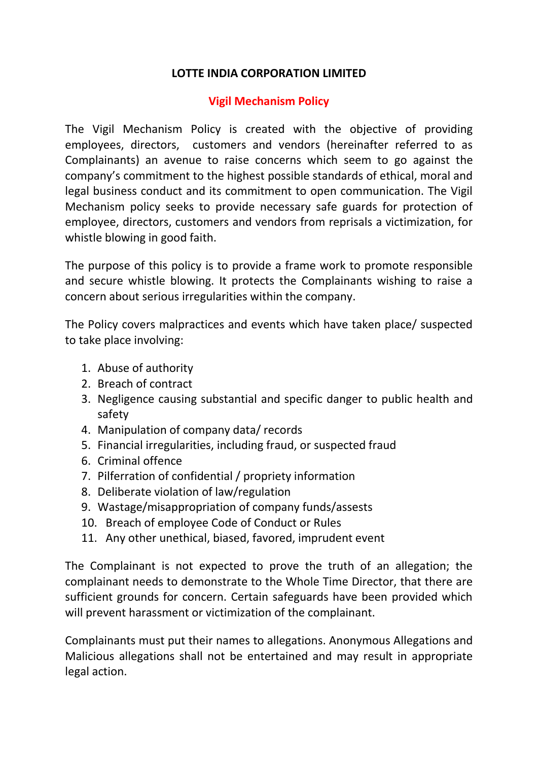## **LOTTE INDIA CORPORATION LIMITED**

## **Vigil Mechanism Policy**

The Vigil Mechanism Policy is created with the objective of providing employees, directors, customers and vendors (hereinafter referred to as Complainants) an avenue to raise concerns which seem to go against the company's commitment to the highest possible standards of ethical, moral and legal business conduct and its commitment to open communication. The Vigil Mechanism policy seeks to provide necessary safe guards for protection of employee, directors, customers and vendors from reprisals a victimization, for whistle blowing in good faith.

The purpose of this policy is to provide a frame work to promote responsible and secure whistle blowing. It protects the Complainants wishing to raise a concern about serious irregularities within the company.

The Policy covers malpractices and events which have taken place/ suspected to take place involving:

- 1. Abuse of authority
- 2. Breach of contract
- 3. Negligence causing substantial and specific danger to public health and safety
- 4. Manipulation of company data/ records
- 5. Financial irregularities, including fraud, or suspected fraud
- 6. Criminal offence
- 7. Pilferration of confidential / propriety information
- 8. Deliberate violation of law/regulation
- 9. Wastage/misappropriation of company funds/assests
- 10. Breach of employee Code of Conduct or Rules
- 11. Any other unethical, biased, favored, imprudent event

The Complainant is not expected to prove the truth of an allegation; the complainant needs to demonstrate to the Whole Time Director, that there are sufficient grounds for concern. Certain safeguards have been provided which will prevent harassment or victimization of the complainant.

Complainants must put their names to allegations. Anonymous Allegations and Malicious allegations shall not be entertained and may result in appropriate legal action.